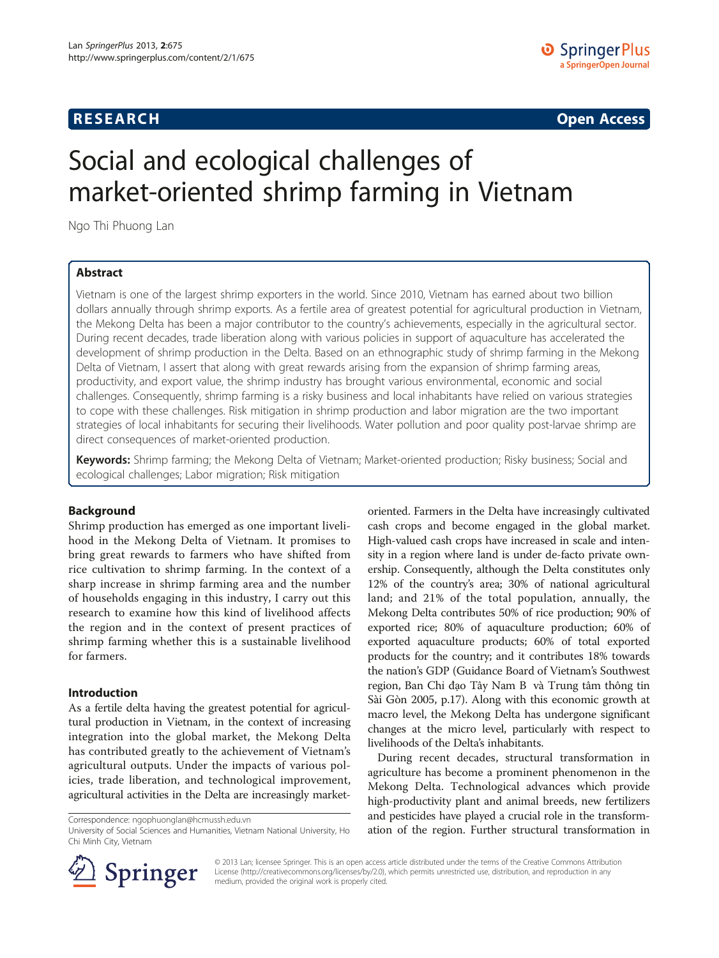## **RESEARCH RESEARCH CONSUMING ACCESS**

# Social and ecological challenges of market-oriented shrimp farming in Vietnam

Ngo Thi Phuong Lan

## Abstract

Vietnam is one of the largest shrimp exporters in the world. Since 2010, Vietnam has earned about two billion dollars annually through shrimp exports. As a fertile area of greatest potential for agricultural production in Vietnam, the Mekong Delta has been a major contributor to the country's achievements, especially in the agricultural sector. During recent decades, trade liberation along with various policies in support of aquaculture has accelerated the development of shrimp production in the Delta. Based on an ethnographic study of shrimp farming in the Mekong Delta of Vietnam, I assert that along with great rewards arising from the expansion of shrimp farming areas, productivity, and export value, the shrimp industry has brought various environmental, economic and social challenges. Consequently, shrimp farming is a risky business and local inhabitants have relied on various strategies to cope with these challenges. Risk mitigation in shrimp production and labor migration are the two important strategies of local inhabitants for securing their livelihoods. Water pollution and poor quality post-larvae shrimp are direct consequences of market-oriented production.

Keywords: Shrimp farming; the Mekong Delta of Vietnam; Market-oriented production; Risky business; Social and ecological challenges; Labor migration; Risk mitigation

### Background

Shrimp production has emerged as one important livelihood in the Mekong Delta of Vietnam. It promises to bring great rewards to farmers who have shifted from rice cultivation to shrimp farming. In the context of a sharp increase in shrimp farming area and the number of households engaging in this industry, I carry out this research to examine how this kind of livelihood affects the region and in the context of present practices of shrimp farming whether this is a sustainable livelihood for farmers.

#### Introduction

As a fertile delta having the greatest potential for agricultural production in Vietnam, in the context of increasing integration into the global market, the Mekong Delta has contributed greatly to the achievement of Vietnam's agricultural outputs. Under the impacts of various policies, trade liberation, and technological improvement, agricultural activities in the Delta are increasingly market-

Correspondence: [ngophuonglan@hcmussh.edu.vn](mailto:ngophuonglan@hcmussh.edu.vn)

oriented. Farmers in the Delta have increasingly cultivated cash crops and become engaged in the global market. High-valued cash crops have increased in scale and intensity in a region where land is under de-facto private ownership. Consequently, although the Delta constitutes only 12% of the country's area; 30% of national agricultural land; and 21% of the total population, annually, the Mekong Delta contributes 50% of rice production; 90% of exported rice; 80% of aquaculture production; 60% of exported aquaculture products; 60% of total exported products for the country; and it contributes 18% towards the nation's GDP (Guidance Board of Vietnam's Southwest region, Ban Chỉ đạo Tây Nam B và Trung tâm thông tin Sài Gòn [2005](#page-9-0), p.17). Along with this economic growth at macro level, the Mekong Delta has undergone significant changes at the micro level, particularly with respect to livelihoods of the Delta's inhabitants.

During recent decades, structural transformation in agriculture has become a prominent phenomenon in the Mekong Delta. Technological advances which provide high-productivity plant and animal breeds, new fertilizers and pesticides have played a crucial role in the transformation of the region. Further structural transformation in



© 2013 Lan; licensee Springer. This is an open access article distributed under the terms of the Creative Commons Attribution License [\(http://creativecommons.org/licenses/by/2.0\)](http://creativecommons.org/licenses/by/2.0), which permits unrestricted use, distribution, and reproduction in any medium, provided the original work is properly cited.

University of Social Sciences and Humanities, Vietnam National University, Ho Chi Minh City, Vietnam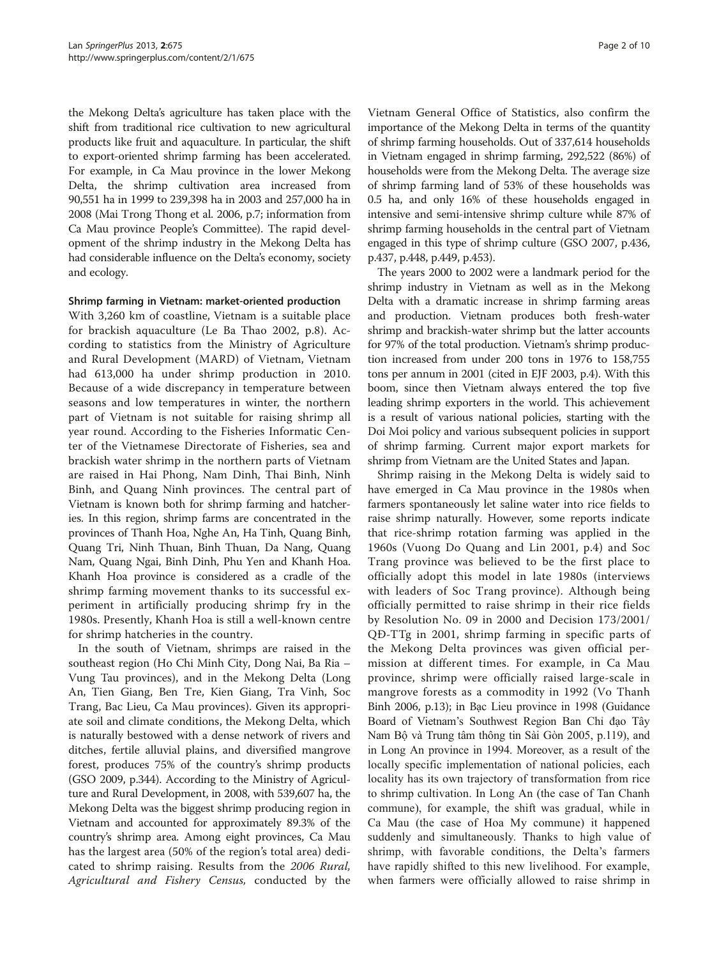the Mekong Delta's agriculture has taken place with the shift from traditional rice cultivation to new agricultural products like fruit and aquaculture. In particular, the shift to export-oriented shrimp farming has been accelerated. For example, in Ca Mau province in the lower Mekong Delta, the shrimp cultivation area increased from 90,551 ha in 1999 to 239,398 ha in 2003 and 257,000 ha in 2008 (Mai Trong Thong et al. [2006,](#page-9-0) p.7; information from Ca Mau province People's Committee). The rapid development of the shrimp industry in the Mekong Delta has had considerable influence on the Delta's economy, society and ecology.

#### Shrimp farming in Vietnam: market-oriented production

With 3,260 km of coastline, Vietnam is a suitable place for brackish aquaculture (Le Ba Thao [2002,](#page-9-0) p.8). According to statistics from the Ministry of Agriculture and Rural Development (MARD) of Vietnam, Vietnam had 613,000 ha under shrimp production in 2010. Because of a wide discrepancy in temperature between seasons and low temperatures in winter, the northern part of Vietnam is not suitable for raising shrimp all year round. According to the Fisheries Informatic Center of the Vietnamese Directorate of Fisheries, sea and brackish water shrimp in the northern parts of Vietnam are raised in Hai Phong, Nam Dinh, Thai Binh, Ninh Binh, and Quang Ninh provinces. The central part of Vietnam is known both for shrimp farming and hatcheries. In this region, shrimp farms are concentrated in the provinces of Thanh Hoa, Nghe An, Ha Tinh, Quang Binh, Quang Tri, Ninh Thuan, Binh Thuan, Da Nang, Quang Nam, Quang Ngai, Binh Dinh, Phu Yen and Khanh Hoa. Khanh Hoa province is considered as a cradle of the shrimp farming movement thanks to its successful experiment in artificially producing shrimp fry in the 1980s. Presently, Khanh Hoa is still a well-known centre for shrimp hatcheries in the country.

In the south of Vietnam, shrimps are raised in the southeast region (Ho Chi Minh City, Dong Nai, Ba Ria – Vung Tau provinces), and in the Mekong Delta (Long An, Tien Giang, Ben Tre, Kien Giang, Tra Vinh, Soc Trang, Bac Lieu, Ca Mau provinces). Given its appropriate soil and climate conditions, the Mekong Delta, which is naturally bestowed with a dense network of rivers and ditches, fertile alluvial plains, and diversified mangrove forest, produces 75% of the country's shrimp products (GSO [2009,](#page-9-0) p.344). According to the Ministry of Agriculture and Rural Development, in 2008, with 539,607 ha, the Mekong Delta was the biggest shrimp producing region in Vietnam and accounted for approximately 89.3% of the country's shrimp area. Among eight provinces, Ca Mau has the largest area (50% of the region's total area) dedicated to shrimp raising. Results from the 2006 Rural, Agricultural and Fishery Census, conducted by the

Vietnam General Office of Statistics, also confirm the importance of the Mekong Delta in terms of the quantity of shrimp farming households. Out of 337,614 households in Vietnam engaged in shrimp farming, 292,522 (86%) of households were from the Mekong Delta. The average size of shrimp farming land of 53% of these households was 0.5 ha, and only 16% of these households engaged in intensive and semi-intensive shrimp culture while 87% of shrimp farming households in the central part of Vietnam engaged in this type of shrimp culture (GSO [2007](#page-9-0), p.436, p.437, p.448, p.449, p.453).

The years 2000 to 2002 were a landmark period for the shrimp industry in Vietnam as well as in the Mekong Delta with a dramatic increase in shrimp farming areas and production. Vietnam produces both fresh-water shrimp and brackish-water shrimp but the latter accounts for 97% of the total production. Vietnam's shrimp production increased from under 200 tons in 1976 to 158,755 tons per annum in 2001 (cited in EJF [2003,](#page-9-0) p.4). With this boom, since then Vietnam always entered the top five leading shrimp exporters in the world. This achievement is a result of various national policies, starting with the Doi Moi policy and various subsequent policies in support of shrimp farming. Current major export markets for shrimp from Vietnam are the United States and Japan.

Shrimp raising in the Mekong Delta is widely said to have emerged in Ca Mau province in the 1980s when farmers spontaneously let saline water into rice fields to raise shrimp naturally. However, some reports indicate that rice-shrimp rotation farming was applied in the 1960s (Vuong Do Quang and Lin [2001](#page-9-0), p.4) and Soc Trang province was believed to be the first place to officially adopt this model in late 1980s (interviews with leaders of Soc Trang province). Although being officially permitted to raise shrimp in their rice fields by Resolution No. 09 in 2000 and Decision 173/2001/ QĐ-TTg in 2001, shrimp farming in specific parts of the Mekong Delta provinces was given official permission at different times. For example, in Ca Mau province, shrimp were officially raised large-scale in mangrove forests as a commodity in 1992 (Vo Thanh Binh [2006](#page-9-0), p.13); in Bạc Lieu province in 1998 (Guidance Board of Vietnam's Southwest Region Ban Chỉ đạo Tây Nam Bộ và Trung tâm thông tin Sài Gòn [2005](#page-9-0), p.119), and in Long An province in 1994. Moreover, as a result of the locally specific implementation of national policies, each locality has its own trajectory of transformation from rice to shrimp cultivation. In Long An (the case of Tan Chanh commune), for example, the shift was gradual, while in Ca Mau (the case of Hoa My commune) it happened suddenly and simultaneously. Thanks to high value of shrimp, with favorable conditions, the Delta's farmers have rapidly shifted to this new livelihood. For example, when farmers were officially allowed to raise shrimp in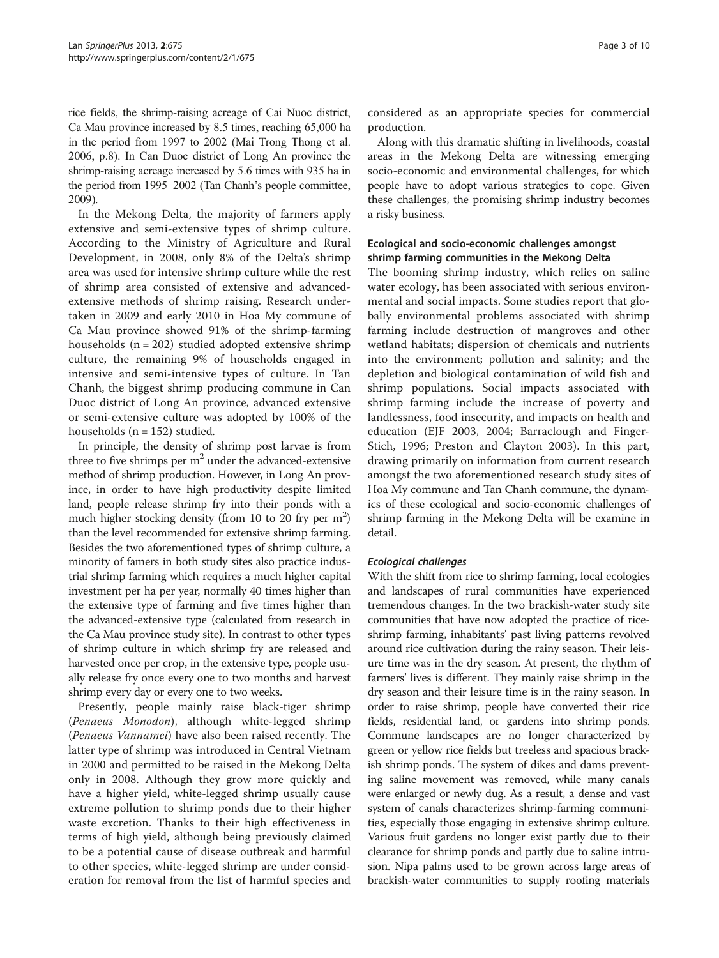rice fields, the shrimp-raising acreage of Cai Nuoc district, Ca Mau province increased by 8.5 times, reaching 65,000 ha in the period from 1997 to 2002 (Mai Trong Thong et al. [2006,](#page-9-0) p.8). In Can Duoc district of Long An province the shrimp-raising acreage increased by 5.6 times with 935 ha in the period from 1995–2002 (Tan Chanh's people committee, [2009\)](#page-9-0).

In the Mekong Delta, the majority of farmers apply extensive and semi-extensive types of shrimp culture. According to the Ministry of Agriculture and Rural Development, in 2008, only 8% of the Delta's shrimp area was used for intensive shrimp culture while the rest of shrimp area consisted of extensive and advancedextensive methods of shrimp raising. Research undertaken in 2009 and early 2010 in Hoa My commune of Ca Mau province showed 91% of the shrimp-farming households  $(n = 202)$  studied adopted extensive shrimp culture, the remaining 9% of households engaged in intensive and semi-intensive types of culture. In Tan Chanh, the biggest shrimp producing commune in Can Duoc district of Long An province, advanced extensive or semi-extensive culture was adopted by 100% of the households ( $n = 152$ ) studied.

In principle, the density of shrimp post larvae is from three to five shrimps per  $m<sup>2</sup>$  under the advanced-extensive method of shrimp production. However, in Long An province, in order to have high productivity despite limited land, people release shrimp fry into their ponds with a much higher stocking density (from 10 to 20 fry per  $m^2$ ) than the level recommended for extensive shrimp farming. Besides the two aforementioned types of shrimp culture, a minority of famers in both study sites also practice industrial shrimp farming which requires a much higher capital investment per ha per year, normally 40 times higher than the extensive type of farming and five times higher than the advanced-extensive type (calculated from research in the Ca Mau province study site). In contrast to other types of shrimp culture in which shrimp fry are released and harvested once per crop, in the extensive type, people usually release fry once every one to two months and harvest shrimp every day or every one to two weeks.

Presently, people mainly raise black-tiger shrimp (Penaeus Monodon), although white-legged shrimp (Penaeus Vannamei) have also been raised recently. The latter type of shrimp was introduced in Central Vietnam in 2000 and permitted to be raised in the Mekong Delta only in 2008. Although they grow more quickly and have a higher yield, white-legged shrimp usually cause extreme pollution to shrimp ponds due to their higher waste excretion. Thanks to their high effectiveness in terms of high yield, although being previously claimed to be a potential cause of disease outbreak and harmful to other species, white-legged shrimp are under consideration for removal from the list of harmful species and considered as an appropriate species for commercial production.

Along with this dramatic shifting in livelihoods, coastal areas in the Mekong Delta are witnessing emerging socio-economic and environmental challenges, for which people have to adopt various strategies to cope. Given these challenges, the promising shrimp industry becomes a risky business.

## Ecological and socio-economic challenges amongst shrimp farming communities in the Mekong Delta

The booming shrimp industry, which relies on saline water ecology, has been associated with serious environmental and social impacts. Some studies report that globally environmental problems associated with shrimp farming include destruction of mangroves and other wetland habitats; dispersion of chemicals and nutrients into the environment; pollution and salinity; and the depletion and biological contamination of wild fish and shrimp populations. Social impacts associated with shrimp farming include the increase of poverty and landlessness, food insecurity, and impacts on health and education (EJF [2003, 2004;](#page-9-0) Barraclough and Finger-Stich, [1996;](#page-9-0) Preston and Clayton [2003\)](#page-9-0). In this part, drawing primarily on information from current research amongst the two aforementioned research study sites of Hoa My commune and Tan Chanh commune, the dynamics of these ecological and socio-economic challenges of shrimp farming in the Mekong Delta will be examine in detail.

### Ecological challenges

With the shift from rice to shrimp farming, local ecologies and landscapes of rural communities have experienced tremendous changes. In the two brackish-water study site communities that have now adopted the practice of riceshrimp farming, inhabitants' past living patterns revolved around rice cultivation during the rainy season. Their leisure time was in the dry season. At present, the rhythm of farmers' lives is different. They mainly raise shrimp in the dry season and their leisure time is in the rainy season. In order to raise shrimp, people have converted their rice fields, residential land, or gardens into shrimp ponds. Commune landscapes are no longer characterized by green or yellow rice fields but treeless and spacious brackish shrimp ponds. The system of dikes and dams preventing saline movement was removed, while many canals were enlarged or newly dug. As a result, a dense and vast system of canals characterizes shrimp-farming communities, especially those engaging in extensive shrimp culture. Various fruit gardens no longer exist partly due to their clearance for shrimp ponds and partly due to saline intrusion. Nipa palms used to be grown across large areas of brackish-water communities to supply roofing materials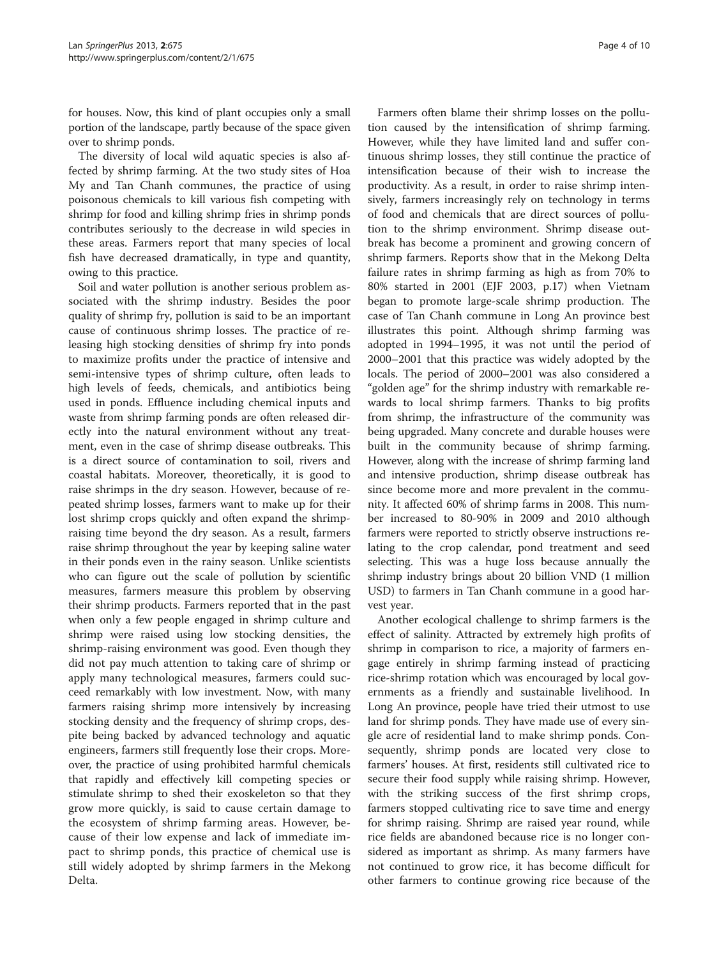for houses. Now, this kind of plant occupies only a small portion of the landscape, partly because of the space given over to shrimp ponds.

The diversity of local wild aquatic species is also affected by shrimp farming. At the two study sites of Hoa My and Tan Chanh communes, the practice of using poisonous chemicals to kill various fish competing with shrimp for food and killing shrimp fries in shrimp ponds contributes seriously to the decrease in wild species in these areas. Farmers report that many species of local fish have decreased dramatically, in type and quantity, owing to this practice.

Soil and water pollution is another serious problem associated with the shrimp industry. Besides the poor quality of shrimp fry, pollution is said to be an important cause of continuous shrimp losses. The practice of releasing high stocking densities of shrimp fry into ponds to maximize profits under the practice of intensive and semi-intensive types of shrimp culture, often leads to high levels of feeds, chemicals, and antibiotics being used in ponds. Effluence including chemical inputs and waste from shrimp farming ponds are often released directly into the natural environment without any treatment, even in the case of shrimp disease outbreaks. This is a direct source of contamination to soil, rivers and coastal habitats. Moreover, theoretically, it is good to raise shrimps in the dry season. However, because of repeated shrimp losses, farmers want to make up for their lost shrimp crops quickly and often expand the shrimpraising time beyond the dry season. As a result, farmers raise shrimp throughout the year by keeping saline water in their ponds even in the rainy season. Unlike scientists who can figure out the scale of pollution by scientific measures, farmers measure this problem by observing their shrimp products. Farmers reported that in the past when only a few people engaged in shrimp culture and shrimp were raised using low stocking densities, the shrimp-raising environment was good. Even though they did not pay much attention to taking care of shrimp or apply many technological measures, farmers could succeed remarkably with low investment. Now, with many farmers raising shrimp more intensively by increasing stocking density and the frequency of shrimp crops, despite being backed by advanced technology and aquatic engineers, farmers still frequently lose their crops. Moreover, the practice of using prohibited harmful chemicals that rapidly and effectively kill competing species or stimulate shrimp to shed their exoskeleton so that they grow more quickly, is said to cause certain damage to the ecosystem of shrimp farming areas. However, because of their low expense and lack of immediate impact to shrimp ponds, this practice of chemical use is still widely adopted by shrimp farmers in the Mekong Delta.

Farmers often blame their shrimp losses on the pollution caused by the intensification of shrimp farming. However, while they have limited land and suffer continuous shrimp losses, they still continue the practice of intensification because of their wish to increase the productivity. As a result, in order to raise shrimp intensively, farmers increasingly rely on technology in terms of food and chemicals that are direct sources of pollution to the shrimp environment. Shrimp disease outbreak has become a prominent and growing concern of shrimp farmers. Reports show that in the Mekong Delta failure rates in shrimp farming as high as from 70% to 80% started in 2001 (EJF [2003](#page-9-0), p.17) when Vietnam began to promote large-scale shrimp production. The case of Tan Chanh commune in Long An province best illustrates this point. Although shrimp farming was adopted in 1994–1995, it was not until the period of 2000–2001 that this practice was widely adopted by the locals. The period of 2000–2001 was also considered a "golden age" for the shrimp industry with remarkable rewards to local shrimp farmers. Thanks to big profits from shrimp, the infrastructure of the community was being upgraded. Many concrete and durable houses were built in the community because of shrimp farming. However, along with the increase of shrimp farming land and intensive production, shrimp disease outbreak has since become more and more prevalent in the community. It affected 60% of shrimp farms in 2008. This number increased to 80-90% in 2009 and 2010 although farmers were reported to strictly observe instructions relating to the crop calendar, pond treatment and seed selecting. This was a huge loss because annually the shrimp industry brings about 20 billion VND (1 million USD) to farmers in Tan Chanh commune in a good harvest year.

Another ecological challenge to shrimp farmers is the effect of salinity. Attracted by extremely high profits of shrimp in comparison to rice, a majority of farmers engage entirely in shrimp farming instead of practicing rice-shrimp rotation which was encouraged by local governments as a friendly and sustainable livelihood. In Long An province, people have tried their utmost to use land for shrimp ponds. They have made use of every single acre of residential land to make shrimp ponds. Consequently, shrimp ponds are located very close to farmers' houses. At first, residents still cultivated rice to secure their food supply while raising shrimp. However, with the striking success of the first shrimp crops, farmers stopped cultivating rice to save time and energy for shrimp raising. Shrimp are raised year round, while rice fields are abandoned because rice is no longer considered as important as shrimp. As many farmers have not continued to grow rice, it has become difficult for other farmers to continue growing rice because of the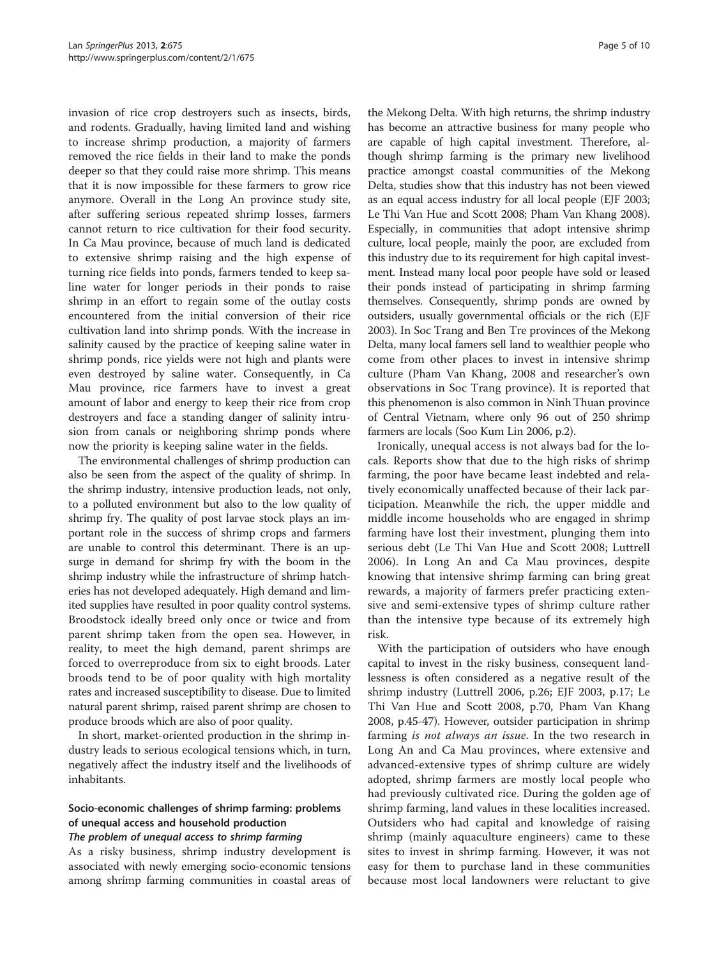invasion of rice crop destroyers such as insects, birds, and rodents. Gradually, having limited land and wishing to increase shrimp production, a majority of farmers removed the rice fields in their land to make the ponds deeper so that they could raise more shrimp. This means that it is now impossible for these farmers to grow rice anymore. Overall in the Long An province study site, after suffering serious repeated shrimp losses, farmers cannot return to rice cultivation for their food security. In Ca Mau province, because of much land is dedicated to extensive shrimp raising and the high expense of turning rice fields into ponds, farmers tended to keep saline water for longer periods in their ponds to raise shrimp in an effort to regain some of the outlay costs encountered from the initial conversion of their rice cultivation land into shrimp ponds. With the increase in salinity caused by the practice of keeping saline water in shrimp ponds, rice yields were not high and plants were even destroyed by saline water. Consequently, in Ca Mau province, rice farmers have to invest a great amount of labor and energy to keep their rice from crop destroyers and face a standing danger of salinity intrusion from canals or neighboring shrimp ponds where now the priority is keeping saline water in the fields.

The environmental challenges of shrimp production can also be seen from the aspect of the quality of shrimp. In the shrimp industry, intensive production leads, not only, to a polluted environment but also to the low quality of shrimp fry. The quality of post larvae stock plays an important role in the success of shrimp crops and farmers are unable to control this determinant. There is an upsurge in demand for shrimp fry with the boom in the shrimp industry while the infrastructure of shrimp hatcheries has not developed adequately. High demand and limited supplies have resulted in poor quality control systems. Broodstock ideally breed only once or twice and from parent shrimp taken from the open sea. However, in reality, to meet the high demand, parent shrimps are forced to overreproduce from six to eight broods. Later broods tend to be of poor quality with high mortality rates and increased susceptibility to disease. Due to limited natural parent shrimp, raised parent shrimp are chosen to produce broods which are also of poor quality.

In short, market-oriented production in the shrimp industry leads to serious ecological tensions which, in turn, negatively affect the industry itself and the livelihoods of inhabitants.

## Socio-economic challenges of shrimp farming: problems of unequal access and household production

#### The problem of unequal access to shrimp farming

As a risky business, shrimp industry development is associated with newly emerging socio-economic tensions among shrimp farming communities in coastal areas of

the Mekong Delta. With high returns, the shrimp industry has become an attractive business for many people who are capable of high capital investment. Therefore, although shrimp farming is the primary new livelihood practice amongst coastal communities of the Mekong Delta, studies show that this industry has not been viewed as an equal access industry for all local people (EJF [2003](#page-9-0); Le Thi Van Hue and Scott [2008](#page-9-0); Pham Van Khang [2008](#page-9-0)). Especially, in communities that adopt intensive shrimp culture, local people, mainly the poor, are excluded from this industry due to its requirement for high capital investment. Instead many local poor people have sold or leased their ponds instead of participating in shrimp farming themselves. Consequently, shrimp ponds are owned by outsiders, usually governmental officials or the rich (EJF [2003](#page-9-0)). In Soc Trang and Ben Tre provinces of the Mekong Delta, many local famers sell land to wealthier people who come from other places to invest in intensive shrimp culture (Pham Van Khang, [2008](#page-9-0) and researcher's own observations in Soc Trang province). It is reported that this phenomenon is also common in Ninh Thuan province of Central Vietnam, where only 96 out of 250 shrimp farmers are locals (Soo Kum Lin [2006](#page-9-0), p.2).

Ironically, unequal access is not always bad for the locals. Reports show that due to the high risks of shrimp farming, the poor have became least indebted and relatively economically unaffected because of their lack participation. Meanwhile the rich, the upper middle and middle income households who are engaged in shrimp farming have lost their investment, plunging them into serious debt (Le Thi Van Hue and Scott [2008](#page-9-0); Luttrell [2006\)](#page-9-0). In Long An and Ca Mau provinces, despite knowing that intensive shrimp farming can bring great rewards, a majority of farmers prefer practicing extensive and semi-extensive types of shrimp culture rather than the intensive type because of its extremely high risk.

With the participation of outsiders who have enough capital to invest in the risky business, consequent landlessness is often considered as a negative result of the shrimp industry (Luttrell [2006](#page-9-0), p.26; EJF [2003](#page-9-0), p.17; Le Thi Van Hue and Scott [2008](#page-9-0), p.70, Pham Van Khang [2008](#page-9-0), p.45-47). However, outsider participation in shrimp farming *is not always an issue*. In the two research in Long An and Ca Mau provinces, where extensive and advanced-extensive types of shrimp culture are widely adopted, shrimp farmers are mostly local people who had previously cultivated rice. During the golden age of shrimp farming, land values in these localities increased. Outsiders who had capital and knowledge of raising shrimp (mainly aquaculture engineers) came to these sites to invest in shrimp farming. However, it was not easy for them to purchase land in these communities because most local landowners were reluctant to give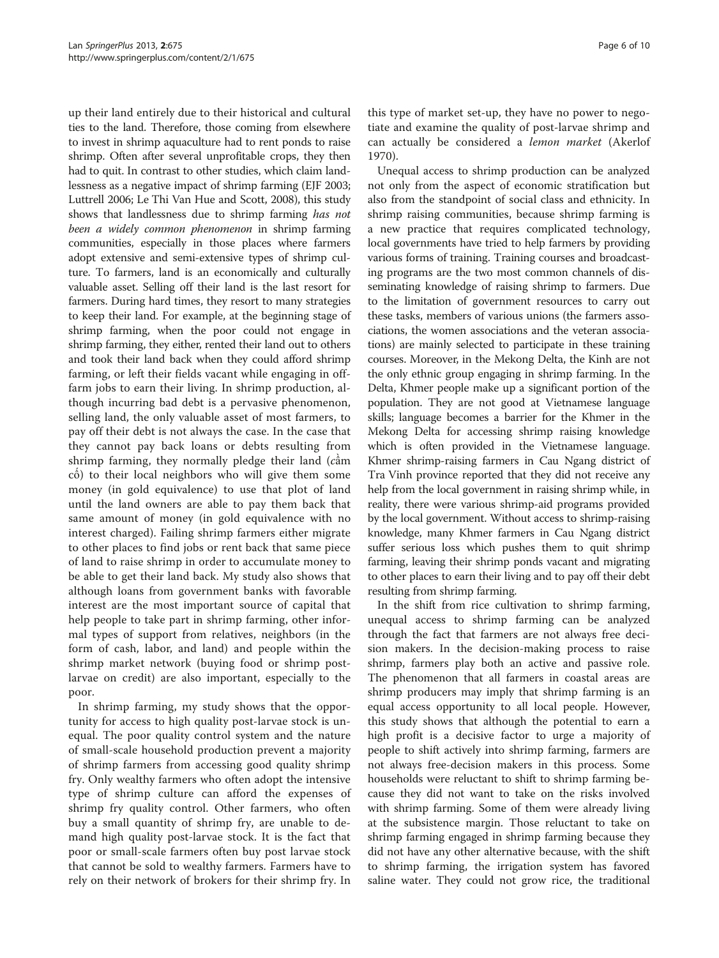up their land entirely due to their historical and cultural ties to the land. Therefore, those coming from elsewhere to invest in shrimp aquaculture had to rent ponds to raise shrimp. Often after several unprofitable crops, they then had to quit. In contrast to other studies, which claim landlessness as a negative impact of shrimp farming (EJF [2003](#page-9-0); Luttrell [2006](#page-9-0); Le Thi Van Hue and Scott, [2008\)](#page-9-0), this study shows that landlessness due to shrimp farming has not been a widely common phenomenon in shrimp farming communities, especially in those places where farmers adopt extensive and semi-extensive types of shrimp culture. To farmers, land is an economically and culturally valuable asset. Selling off their land is the last resort for farmers. During hard times, they resort to many strategies to keep their land. For example, at the beginning stage of shrimp farming, when the poor could not engage in shrimp farming, they either, rented their land out to others and took their land back when they could afford shrimp farming, or left their fields vacant while engaging in offfarm jobs to earn their living. In shrimp production, although incurring bad debt is a pervasive phenomenon, selling land, the only valuable asset of most farmers, to pay off their debt is not always the case. In the case that they cannot pay back loans or debts resulting from shrimp farming, they normally pledge their land (cầm cố) to their local neighbors who will give them some money (in gold equivalence) to use that plot of land until the land owners are able to pay them back that same amount of money (in gold equivalence with no interest charged). Failing shrimp farmers either migrate to other places to find jobs or rent back that same piece of land to raise shrimp in order to accumulate money to be able to get their land back. My study also shows that although loans from government banks with favorable interest are the most important source of capital that help people to take part in shrimp farming, other informal types of support from relatives, neighbors (in the form of cash, labor, and land) and people within the shrimp market network (buying food or shrimp postlarvae on credit) are also important, especially to the poor.

In shrimp farming, my study shows that the opportunity for access to high quality post-larvae stock is unequal. The poor quality control system and the nature of small-scale household production prevent a majority of shrimp farmers from accessing good quality shrimp fry. Only wealthy farmers who often adopt the intensive type of shrimp culture can afford the expenses of shrimp fry quality control. Other farmers, who often buy a small quantity of shrimp fry, are unable to demand high quality post-larvae stock. It is the fact that poor or small-scale farmers often buy post larvae stock that cannot be sold to wealthy farmers. Farmers have to rely on their network of brokers for their shrimp fry. In this type of market set-up, they have no power to negotiate and examine the quality of post-larvae shrimp and can actually be considered a lemon market (Akerlof [1970\)](#page-9-0).

Unequal access to shrimp production can be analyzed not only from the aspect of economic stratification but also from the standpoint of social class and ethnicity. In shrimp raising communities, because shrimp farming is a new practice that requires complicated technology, local governments have tried to help farmers by providing various forms of training. Training courses and broadcasting programs are the two most common channels of disseminating knowledge of raising shrimp to farmers. Due to the limitation of government resources to carry out these tasks, members of various unions (the farmers associations, the women associations and the veteran associations) are mainly selected to participate in these training courses. Moreover, in the Mekong Delta, the Kinh are not the only ethnic group engaging in shrimp farming. In the Delta, Khmer people make up a significant portion of the population. They are not good at Vietnamese language skills; language becomes a barrier for the Khmer in the Mekong Delta for accessing shrimp raising knowledge which is often provided in the Vietnamese language. Khmer shrimp-raising farmers in Cau Ngang district of Tra Vinh province reported that they did not receive any help from the local government in raising shrimp while, in reality, there were various shrimp-aid programs provided by the local government. Without access to shrimp-raising knowledge, many Khmer farmers in Cau Ngang district suffer serious loss which pushes them to quit shrimp farming, leaving their shrimp ponds vacant and migrating to other places to earn their living and to pay off their debt resulting from shrimp farming.

In the shift from rice cultivation to shrimp farming, unequal access to shrimp farming can be analyzed through the fact that farmers are not always free decision makers. In the decision-making process to raise shrimp, farmers play both an active and passive role. The phenomenon that all farmers in coastal areas are shrimp producers may imply that shrimp farming is an equal access opportunity to all local people. However, this study shows that although the potential to earn a high profit is a decisive factor to urge a majority of people to shift actively into shrimp farming, farmers are not always free-decision makers in this process. Some households were reluctant to shift to shrimp farming because they did not want to take on the risks involved with shrimp farming. Some of them were already living at the subsistence margin. Those reluctant to take on shrimp farming engaged in shrimp farming because they did not have any other alternative because, with the shift to shrimp farming, the irrigation system has favored saline water. They could not grow rice, the traditional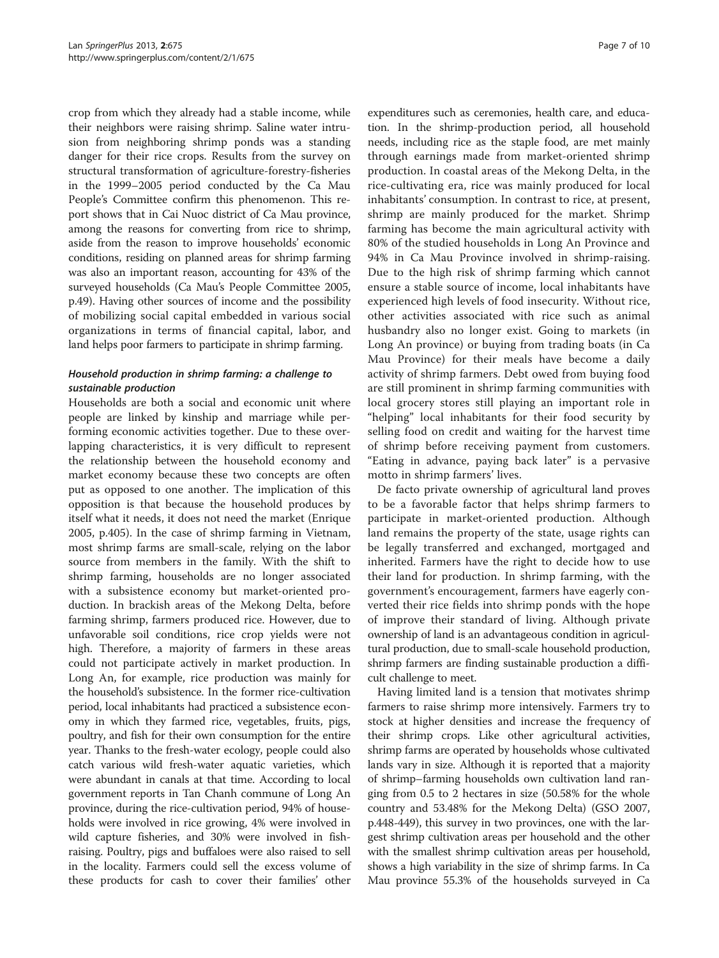crop from which they already had a stable income, while their neighbors were raising shrimp. Saline water intrusion from neighboring shrimp ponds was a standing danger for their rice crops. Results from the survey on structural transformation of agriculture-forestry-fisheries in the 1999–2005 period conducted by the Ca Mau People's Committee confirm this phenomenon. This report shows that in Cai Nuoc district of Ca Mau province, among the reasons for converting from rice to shrimp, aside from the reason to improve households' economic conditions, residing on planned areas for shrimp farming was also an important reason, accounting for 43% of the surveyed households (Ca Mau's People Committee [2005](#page-9-0), p.49). Having other sources of income and the possibility of mobilizing social capital embedded in various social organizations in terms of financial capital, labor, and land helps poor farmers to participate in shrimp farming.

## Household production in shrimp farming: a challenge to sustainable production

Households are both a social and economic unit where people are linked by kinship and marriage while performing economic activities together. Due to these overlapping characteristics, it is very difficult to represent the relationship between the household economy and market economy because these two concepts are often put as opposed to one another. The implication of this opposition is that because the household produces by itself what it needs, it does not need the market (Enrique [2005](#page-9-0), p.405). In the case of shrimp farming in Vietnam, most shrimp farms are small-scale, relying on the labor source from members in the family. With the shift to shrimp farming, households are no longer associated with a subsistence economy but market-oriented production. In brackish areas of the Mekong Delta, before farming shrimp, farmers produced rice. However, due to unfavorable soil conditions, rice crop yields were not high. Therefore, a majority of farmers in these areas could not participate actively in market production. In Long An, for example, rice production was mainly for the household's subsistence. In the former rice-cultivation period, local inhabitants had practiced a subsistence economy in which they farmed rice, vegetables, fruits, pigs, poultry, and fish for their own consumption for the entire year. Thanks to the fresh-water ecology, people could also catch various wild fresh-water aquatic varieties, which were abundant in canals at that time. According to local government reports in Tan Chanh commune of Long An province, during the rice-cultivation period, 94% of households were involved in rice growing, 4% were involved in wild capture fisheries, and 30% were involved in fishraising. Poultry, pigs and buffaloes were also raised to sell in the locality. Farmers could sell the excess volume of these products for cash to cover their families' other

expenditures such as ceremonies, health care, and education. In the shrimp-production period, all household needs, including rice as the staple food, are met mainly through earnings made from market-oriented shrimp production. In coastal areas of the Mekong Delta, in the rice-cultivating era, rice was mainly produced for local inhabitants' consumption. In contrast to rice, at present, shrimp are mainly produced for the market. Shrimp farming has become the main agricultural activity with 80% of the studied households in Long An Province and 94% in Ca Mau Province involved in shrimp-raising. Due to the high risk of shrimp farming which cannot ensure a stable source of income, local inhabitants have experienced high levels of food insecurity. Without rice, other activities associated with rice such as animal husbandry also no longer exist. Going to markets (in Long An province) or buying from trading boats (in Ca Mau Province) for their meals have become a daily activity of shrimp farmers. Debt owed from buying food are still prominent in shrimp farming communities with local grocery stores still playing an important role in "helping" local inhabitants for their food security by selling food on credit and waiting for the harvest time of shrimp before receiving payment from customers. "Eating in advance, paying back later" is a pervasive motto in shrimp farmers' lives.

De facto private ownership of agricultural land proves to be a favorable factor that helps shrimp farmers to participate in market-oriented production. Although land remains the property of the state, usage rights can be legally transferred and exchanged, mortgaged and inherited. Farmers have the right to decide how to use their land for production. In shrimp farming, with the government's encouragement, farmers have eagerly converted their rice fields into shrimp ponds with the hope of improve their standard of living. Although private ownership of land is an advantageous condition in agricultural production, due to small-scale household production, shrimp farmers are finding sustainable production a difficult challenge to meet.

Having limited land is a tension that motivates shrimp farmers to raise shrimp more intensively. Farmers try to stock at higher densities and increase the frequency of their shrimp crops. Like other agricultural activities, shrimp farms are operated by households whose cultivated lands vary in size. Although it is reported that a majority of shrimp–farming households own cultivation land ranging from 0.5 to 2 hectares in size (50.58% for the whole country and 53.48% for the Mekong Delta) (GSO [2007](#page-9-0), p.448-449), this survey in two provinces, one with the largest shrimp cultivation areas per household and the other with the smallest shrimp cultivation areas per household, shows a high variability in the size of shrimp farms. In Ca Mau province 55.3% of the households surveyed in Ca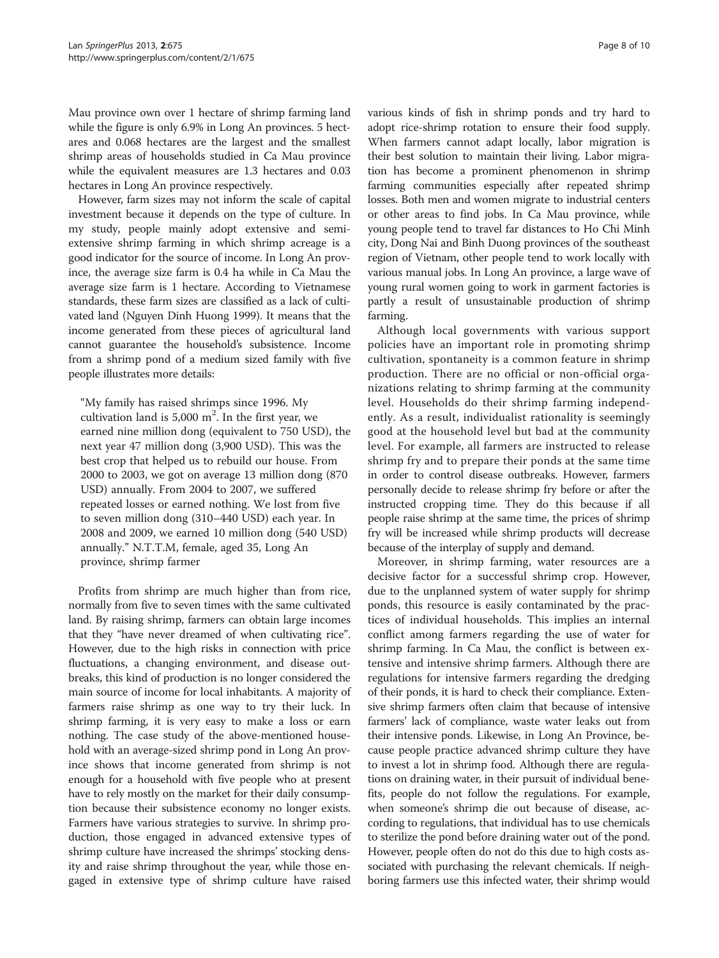Mau province own over 1 hectare of shrimp farming land while the figure is only 6.9% in Long An provinces. 5 hectares and 0.068 hectares are the largest and the smallest shrimp areas of households studied in Ca Mau province while the equivalent measures are 1.3 hectares and 0.03 hectares in Long An province respectively.

However, farm sizes may not inform the scale of capital investment because it depends on the type of culture. In my study, people mainly adopt extensive and semiextensive shrimp farming in which shrimp acreage is a good indicator for the source of income. In Long An province, the average size farm is 0.4 ha while in Ca Mau the average size farm is 1 hectare. According to Vietnamese standards, these farm sizes are classified as a lack of cultivated land (Nguyen Dinh Huong [1999](#page-9-0)). It means that the income generated from these pieces of agricultural land cannot guarantee the household's subsistence. Income from a shrimp pond of a medium sized family with five people illustrates more details:

"My family has raised shrimps since 1996. My cultivation land is  $5,000 \text{ m}^2$ . In the first year, we earned nine million dong (equivalent to 750 USD), the next year 47 million dong (3,900 USD). This was the best crop that helped us to rebuild our house. From 2000 to 2003, we got on average 13 million dong (870 USD) annually. From 2004 to 2007, we suffered repeated losses or earned nothing. We lost from five to seven million dong (310–440 USD) each year. In 2008 and 2009, we earned 10 million dong (540 USD) annually." N.T.T.M, female, aged 35, Long An province, shrimp farmer

Profits from shrimp are much higher than from rice, normally from five to seven times with the same cultivated land. By raising shrimp, farmers can obtain large incomes that they "have never dreamed of when cultivating rice". However, due to the high risks in connection with price fluctuations, a changing environment, and disease outbreaks, this kind of production is no longer considered the main source of income for local inhabitants. A majority of farmers raise shrimp as one way to try their luck. In shrimp farming, it is very easy to make a loss or earn nothing. The case study of the above-mentioned household with an average-sized shrimp pond in Long An province shows that income generated from shrimp is not enough for a household with five people who at present have to rely mostly on the market for their daily consumption because their subsistence economy no longer exists. Farmers have various strategies to survive. In shrimp production, those engaged in advanced extensive types of shrimp culture have increased the shrimps' stocking density and raise shrimp throughout the year, while those engaged in extensive type of shrimp culture have raised various kinds of fish in shrimp ponds and try hard to adopt rice-shrimp rotation to ensure their food supply. When farmers cannot adapt locally, labor migration is their best solution to maintain their living. Labor migration has become a prominent phenomenon in shrimp farming communities especially after repeated shrimp losses. Both men and women migrate to industrial centers or other areas to find jobs. In Ca Mau province, while young people tend to travel far distances to Ho Chi Minh city, Dong Nai and Binh Duong provinces of the southeast region of Vietnam, other people tend to work locally with various manual jobs. In Long An province, a large wave of young rural women going to work in garment factories is partly a result of unsustainable production of shrimp farming.

Although local governments with various support policies have an important role in promoting shrimp cultivation, spontaneity is a common feature in shrimp production. There are no official or non-official organizations relating to shrimp farming at the community level. Households do their shrimp farming independently. As a result, individualist rationality is seemingly good at the household level but bad at the community level. For example, all farmers are instructed to release shrimp fry and to prepare their ponds at the same time in order to control disease outbreaks. However, farmers personally decide to release shrimp fry before or after the instructed cropping time. They do this because if all people raise shrimp at the same time, the prices of shrimp fry will be increased while shrimp products will decrease because of the interplay of supply and demand.

Moreover, in shrimp farming, water resources are a decisive factor for a successful shrimp crop. However, due to the unplanned system of water supply for shrimp ponds, this resource is easily contaminated by the practices of individual households. This implies an internal conflict among farmers regarding the use of water for shrimp farming. In Ca Mau, the conflict is between extensive and intensive shrimp farmers. Although there are regulations for intensive farmers regarding the dredging of their ponds, it is hard to check their compliance. Extensive shrimp farmers often claim that because of intensive farmers' lack of compliance, waste water leaks out from their intensive ponds. Likewise, in Long An Province, because people practice advanced shrimp culture they have to invest a lot in shrimp food. Although there are regulations on draining water, in their pursuit of individual benefits, people do not follow the regulations. For example, when someone's shrimp die out because of disease, according to regulations, that individual has to use chemicals to sterilize the pond before draining water out of the pond. However, people often do not do this due to high costs associated with purchasing the relevant chemicals. If neighboring farmers use this infected water, their shrimp would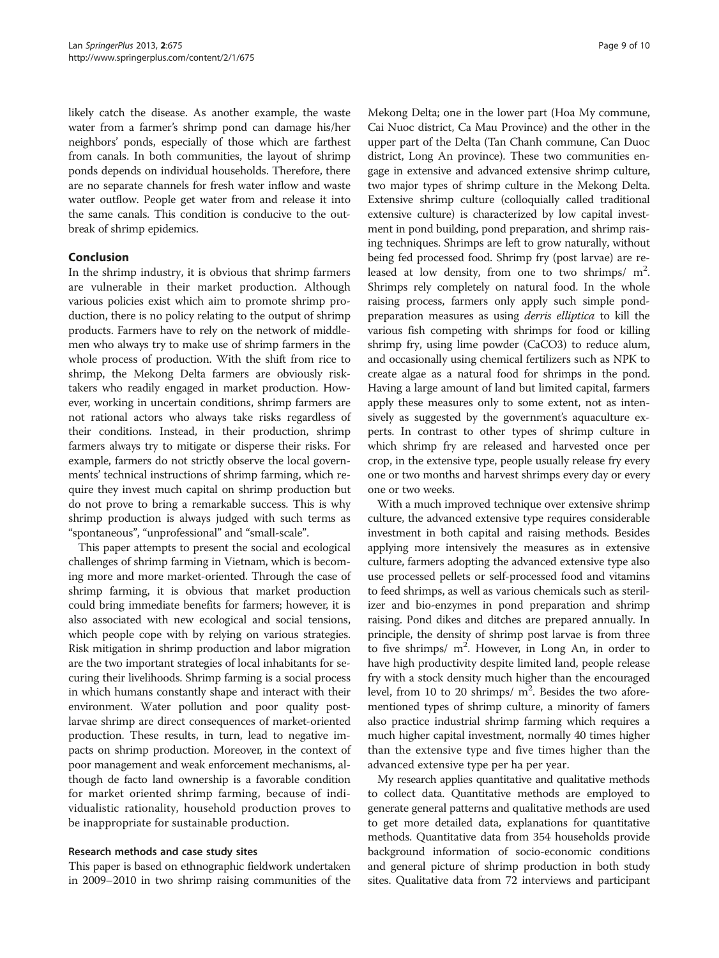likely catch the disease. As another example, the waste water from a farmer's shrimp pond can damage his/her neighbors' ponds, especially of those which are farthest from canals. In both communities, the layout of shrimp ponds depends on individual households. Therefore, there are no separate channels for fresh water inflow and waste water outflow. People get water from and release it into the same canals. This condition is conducive to the outbreak of shrimp epidemics.

### Conclusion

In the shrimp industry, it is obvious that shrimp farmers are vulnerable in their market production. Although various policies exist which aim to promote shrimp production, there is no policy relating to the output of shrimp products. Farmers have to rely on the network of middlemen who always try to make use of shrimp farmers in the whole process of production. With the shift from rice to shrimp, the Mekong Delta farmers are obviously risktakers who readily engaged in market production. However, working in uncertain conditions, shrimp farmers are not rational actors who always take risks regardless of their conditions. Instead, in their production, shrimp farmers always try to mitigate or disperse their risks. For example, farmers do not strictly observe the local governments' technical instructions of shrimp farming, which require they invest much capital on shrimp production but do not prove to bring a remarkable success. This is why shrimp production is always judged with such terms as "spontaneous", "unprofessional" and "small-scale".

This paper attempts to present the social and ecological challenges of shrimp farming in Vietnam, which is becoming more and more market-oriented. Through the case of shrimp farming, it is obvious that market production could bring immediate benefits for farmers; however, it is also associated with new ecological and social tensions, which people cope with by relying on various strategies. Risk mitigation in shrimp production and labor migration are the two important strategies of local inhabitants for securing their livelihoods. Shrimp farming is a social process in which humans constantly shape and interact with their environment. Water pollution and poor quality postlarvae shrimp are direct consequences of market-oriented production. These results, in turn, lead to negative impacts on shrimp production. Moreover, in the context of poor management and weak enforcement mechanisms, although de facto land ownership is a favorable condition for market oriented shrimp farming, because of individualistic rationality, household production proves to be inappropriate for sustainable production.

#### Research methods and case study sites

This paper is based on ethnographic fieldwork undertaken in 2009–2010 in two shrimp raising communities of the

Mekong Delta; one in the lower part (Hoa My commune, Cai Nuoc district, Ca Mau Province) and the other in the upper part of the Delta (Tan Chanh commune, Can Duoc district, Long An province). These two communities engage in extensive and advanced extensive shrimp culture, two major types of shrimp culture in the Mekong Delta. Extensive shrimp culture (colloquially called traditional extensive culture) is characterized by low capital investment in pond building, pond preparation, and shrimp raising techniques. Shrimps are left to grow naturally, without being fed processed food. Shrimp fry (post larvae) are released at low density, from one to two shrimps/ $m^2$ . Shrimps rely completely on natural food. In the whole raising process, farmers only apply such simple pondpreparation measures as using derris elliptica to kill the various fish competing with shrimps for food or killing shrimp fry, using lime powder (CaCO3) to reduce alum, and occasionally using chemical fertilizers such as NPK to create algae as a natural food for shrimps in the pond. Having a large amount of land but limited capital, farmers apply these measures only to some extent, not as intensively as suggested by the government's aquaculture experts. In contrast to other types of shrimp culture in which shrimp fry are released and harvested once per crop, in the extensive type, people usually release fry every one or two months and harvest shrimps every day or every one or two weeks.

With a much improved technique over extensive shrimp culture, the advanced extensive type requires considerable investment in both capital and raising methods. Besides applying more intensively the measures as in extensive culture, farmers adopting the advanced extensive type also use processed pellets or self-processed food and vitamins to feed shrimps, as well as various chemicals such as sterilizer and bio-enzymes in pond preparation and shrimp raising. Pond dikes and ditches are prepared annually. In principle, the density of shrimp post larvae is from three to five shrimps/  $m^2$ . However, in Long An, in order to have high productivity despite limited land, people release fry with a stock density much higher than the encouraged level, from 10 to 20 shrimps/ $m^2$ . Besides the two aforementioned types of shrimp culture, a minority of famers also practice industrial shrimp farming which requires a much higher capital investment, normally 40 times higher than the extensive type and five times higher than the advanced extensive type per ha per year.

My research applies quantitative and qualitative methods to collect data. Quantitative methods are employed to generate general patterns and qualitative methods are used to get more detailed data, explanations for quantitative methods. Quantitative data from 354 households provide background information of socio-economic conditions and general picture of shrimp production in both study sites. Qualitative data from 72 interviews and participant